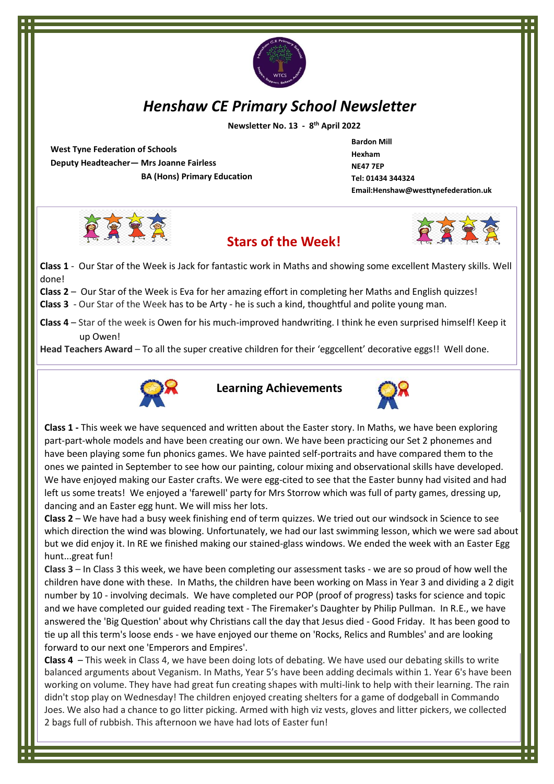

# *Henshaw CE Primary School Newsletter*

 **Newsletter No. 13 - 8 th April 2022**

**West Tyne Federation of Schools Deputy Headteacher— Mrs Joanne Fairless BA (Hons) Primary Education** **Bardon Mill Hexham NE47 7EP Tel: 01434 344324 Email:Henshaw@westtynefederation.uk**







**Class 1** - Our Star of the Week is Jack for fantastic work in Maths and showing some excellent Mastery skills. Well done!

**Class 2** – Our Star of the Week is Eva for her amazing effort in completing her Maths and English quizzes!

- **Class 3** Our Star of the Week has to be Arty he is such a kind, thoughtful and polite young man.
- **Class 4** Star of the week is Owen for his much-improved handwriting. I think he even surprised himself! Keep it up Owen!

**Head Teachers Award** – To all the super creative children for their 'eggcellent' decorative eggs!! Well done.



**Learning Achievements**



**Class 1 -** This week we have sequenced and written about the Easter story. In Maths, we have been exploring part-part-whole models and have been creating our own. We have been practicing our Set 2 phonemes and have been playing some fun phonics games. We have painted self-portraits and have compared them to the ones we painted in September to see how our painting, colour mixing and observational skills have developed. We have enjoyed making our Easter crafts. We were egg-cited to see that the Easter bunny had visited and had left us some treats! We enjoyed a 'farewell' party for Mrs Storrow which was full of party games, dressing up, dancing and an Easter egg hunt. We will miss her lots.

**Class 2** – We have had a busy week finishing end of term quizzes. We tried out our windsock in Science to see which direction the wind was blowing. Unfortunately, we had our last swimming lesson, which we were sad about but we did enjoy it. In RE we finished making our stained-glass windows. We ended the week with an Easter Egg hunt...great fun!

**Class 3** – In Class 3 this week, we have been completing our assessment tasks - we are so proud of how well the children have done with these. In Maths, the children have been working on Mass in Year 3 and dividing a 2 digit number by 10 - involving decimals. We have completed our POP (proof of progress) tasks for science and topic and we have completed our guided reading text - The Firemaker's Daughter by Philip Pullman. In R.E., we have answered the 'Big Question' about why Christians call the day that Jesus died - Good Friday. It has been good to tie up all this term's loose ends - we have enjoyed our theme on 'Rocks, Relics and Rumbles' and are looking forward to our next one 'Emperors and Empires'.

**Class 4** – This week in Class 4, we have been doing lots of debating. We have used our debating skills to write balanced arguments about Veganism. In Maths, Year 5's have been adding decimals within 1. Year 6's have been working on volume. They have had great fun creating shapes with multi-link to help with their learning. The rain didn't stop play on Wednesday! The children enjoyed creating shelters for a game of dodgeball in Commando Joes. We also had a chance to go litter picking. Armed with high viz vests, gloves and litter pickers, we collected 2 bags full of rubbish. This afternoon we have had lots of Easter fun!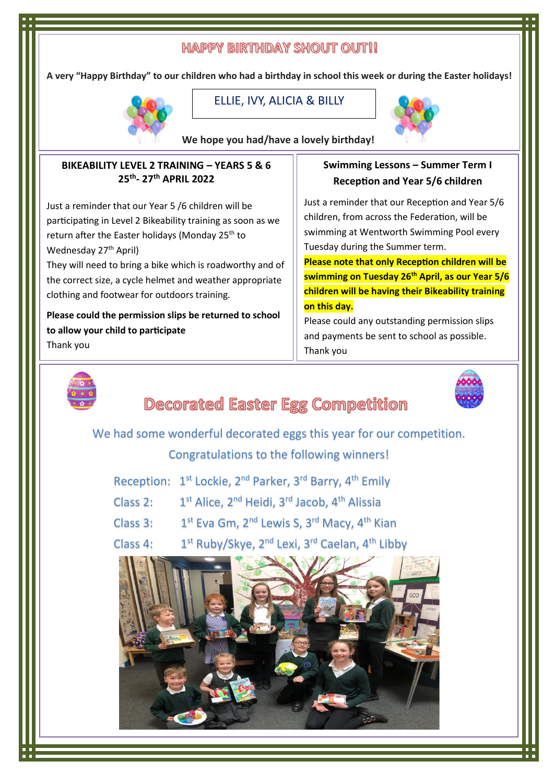## **HAPPY BIRTHDAY SHOUT OUT!!**

**A very "Happy Birthday" to our children who had a birthday in school this week or during the Easter holidays!** 



**Alex**  ELLIE, IVY, ALICIA & BILLY



**We hope you had/have a lovely birthday!**

#### **BIKEABILITY LEVEL 2 TRAINING – YEARS 5 & 6 25th - 27th APRIL 2022**

Just a reminder that our Year 5 /6 children will be participating in Level 2 Bikeability training as soon as we return after the Easter holidays (Monday 25<sup>th</sup> to Wednesday 27<sup>th</sup> April)

They will need to bring a bike which is roadworthy and of the correct size, a cycle helmet and weather appropriate clothing and footwear for outdoors training.

**Please could the permission slips be returned to school to allow your child to participate**

Thank you

## **Swimming Lessons – Summer Term I Reception and Year 5/6 children**

Just a reminder that our Reception and Year 5/6 children, from across the Federation, will be swimming at Wentworth Swimming Pool every Tuesday during the Summer term.

**Please note that only Reception children will be swimming on Tuesday 26th April, as our Year 5/6 children will be having their Bikeability training on this day.**

Please could any outstanding permission slips and payments be sent to school as possible. Thank you



# **Decorated Easter Egg Competition**

We had some wonderful decorated eggs this year for our competition.

## Congratulations to the following winners!

| Reception: 1 <sup>st</sup> Lockie, 2 <sup>nd</sup> Parker, 3 <sup>rd</sup> Barry, 4 <sup>th</sup> Emily |  |  |  |  |
|---------------------------------------------------------------------------------------------------------|--|--|--|--|
|---------------------------------------------------------------------------------------------------------|--|--|--|--|

- Class 2:  $1^{st}$  Alice,  $2^{nd}$  Heidi,  $3^{rd}$  Jacob,  $4^{th}$  Alissia
- Class 3: 1 1<sup>st</sup> Eva Gm, 2<sup>nd</sup> Lewis S, 3<sup>rd</sup> Macy, 4<sup>th</sup> Kian
- Class 4: 1<sup>st</sup> Ruby/Skye, 2<sup>nd</sup> Lexi, 3<sup>rd</sup> Caelan, 4<sup>th</sup> Libby